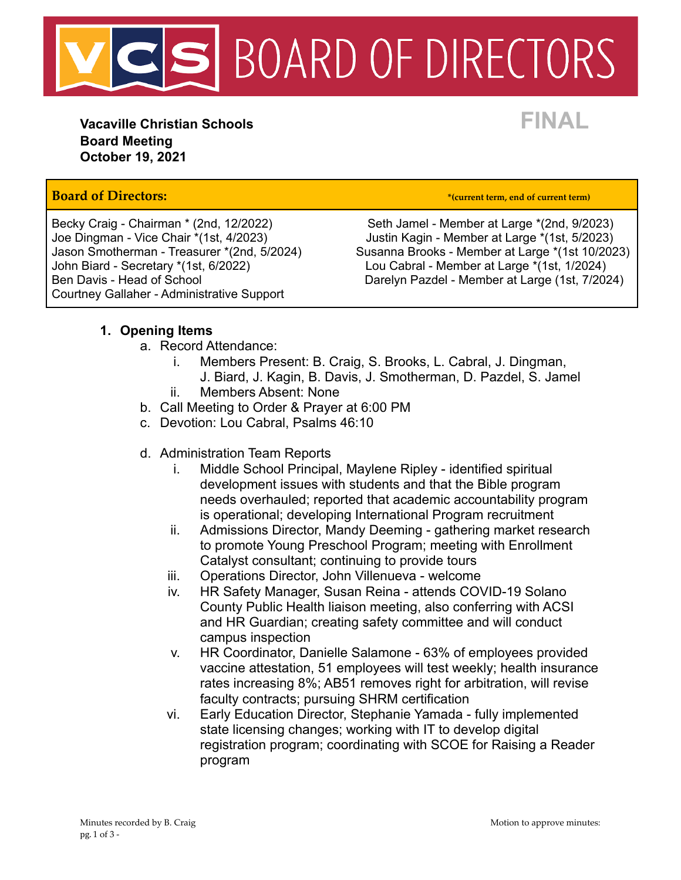

**Vacaville Christian Schools FINAL Board Meeting October 19, 2021**

### **Board of Directors: \*(current term, end of current term)**

John Biard - Secretary \*(1st, 6/2022) Lou Cabral - Member at Large \*(1st, 1/2024) Courtney Gallaher - Administrative Support

Becky Craig - Chairman \* (2nd, 12/2022) Seth Jamel - Member at Large \* (2nd, 9/2023) Joe Dingman - Vice Chair \*(1st, 4/2023) Justin Kagin - Member at Large \*(1st, 5/2023) Susanna Brooks - Member at Large \*(1st 10/2023) Ben Davis - Head of School **Darelyn Pazdel - Member at Large (1st, 7/2024)** 

### **1. Opening Items**

- a. Record Attendance:
	- i. Members Present: B. Craig, S. Brooks, L. Cabral, J. Dingman, J. Biard, J. Kagin, B. Davis, J. Smotherman, D. Pazdel, S. Jamel
	- ii. Members Absent: None
- b. Call Meeting to Order & Prayer at 6:00 PM
- c. Devotion: Lou Cabral, Psalms 46:10
- d. Administration Team Reports
	- i. Middle School Principal, Maylene Ripley identified spiritual development issues with students and that the Bible program needs overhauled; reported that academic accountability program is operational; developing International Program recruitment
	- ii. Admissions Director, Mandy Deeming gathering market research to promote Young Preschool Program; meeting with Enrollment Catalyst consultant; continuing to provide tours
	- iii. Operations Director, John Villenueva welcome
	- iv. HR Safety Manager, Susan Reina attends COVID-19 Solano County Public Health liaison meeting, also conferring with ACSI and HR Guardian; creating safety committee and will conduct campus inspection
	- v. HR Coordinator, Danielle Salamone 63% of employees provided vaccine attestation, 51 employees will test weekly; health insurance rates increasing 8%; AB51 removes right for arbitration, will revise faculty contracts; pursuing SHRM certification
	- vi. Early Education Director, Stephanie Yamada fully implemented state licensing changes; working with IT to develop digital registration program; coordinating with SCOE for Raising a Reader program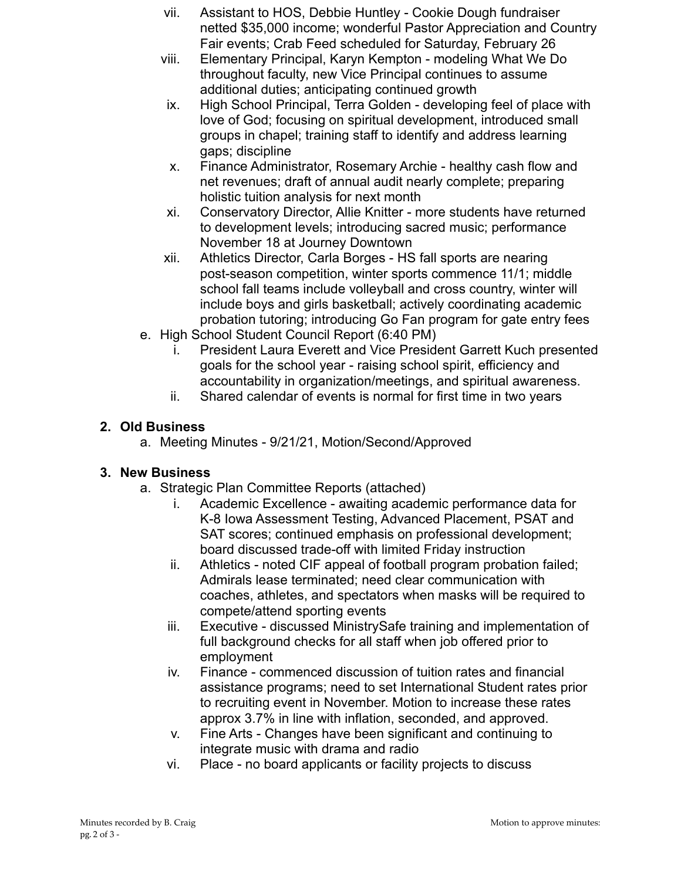- vii. Assistant to HOS, Debbie Huntley Cookie Dough fundraiser netted \$35,000 income; wonderful Pastor Appreciation and Country Fair events; Crab Feed scheduled for Saturday, February 26
- viii. Elementary Principal, Karyn Kempton modeling What We Do throughout faculty, new Vice Principal continues to assume additional duties; anticipating continued growth
- ix. High School Principal, Terra Golden developing feel of place with love of God; focusing on spiritual development, introduced small groups in chapel; training staff to identify and address learning gaps; discipline
- x. Finance Administrator, Rosemary Archie healthy cash flow and net revenues; draft of annual audit nearly complete; preparing holistic tuition analysis for next month
- xi. Conservatory Director, Allie Knitter more students have returned to development levels; introducing sacred music; performance November 18 at Journey Downtown
- xii. Athletics Director, Carla Borges HS fall sports are nearing post-season competition, winter sports commence 11/1; middle school fall teams include volleyball and cross country, winter will include boys and girls basketball; actively coordinating academic probation tutoring; introducing Go Fan program for gate entry fees
- e. High School Student Council Report (6:40 PM)
	- i. President Laura Everett and Vice President Garrett Kuch presented goals for the school year - raising school spirit, efficiency and accountability in organization/meetings, and spiritual awareness.
	- ii. Shared calendar of events is normal for first time in two years

## **2. Old Business**

a. Meeting Minutes - 9/21/21, Motion/Second/Approved

# **3. New Business**

- a. Strategic Plan Committee Reports (attached)
	- i. Academic Excellence awaiting academic performance data for K-8 Iowa Assessment Testing, Advanced Placement, PSAT and SAT scores; continued emphasis on professional development; board discussed trade-off with limited Friday instruction
	- ii. Athletics noted CIF appeal of football program probation failed; Admirals lease terminated; need clear communication with coaches, athletes, and spectators when masks will be required to compete/attend sporting events
	- iii. Executive discussed MinistrySafe training and implementation of full background checks for all staff when job offered prior to employment
	- iv. Finance commenced discussion of tuition rates and financial assistance programs; need to set International Student rates prior to recruiting event in November. Motion to increase these rates approx 3.7% in line with inflation, seconded, and approved.
	- v. Fine Arts Changes have been significant and continuing to integrate music with drama and radio
	- vi. Place no board applicants or facility projects to discuss